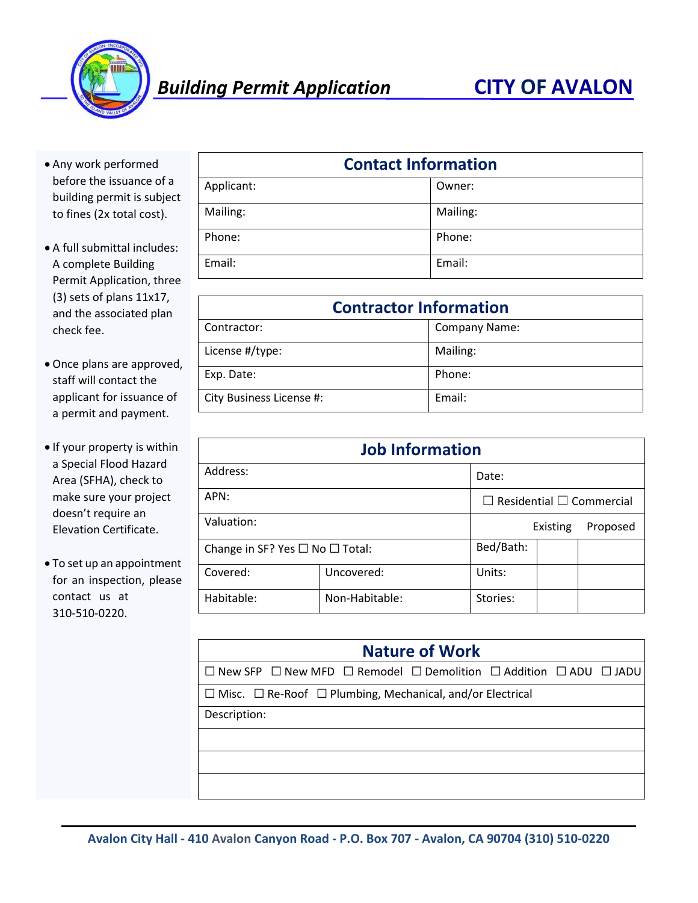

- Any work performed before the issuance of a building permit is subject to fines (2x total cost).
- A full submittal includes: A complete Building Permit Application, three (3) sets of plans 11x17, and the associated plan check fee.
- Once plans are approved, staff will contact the applicant for issuance of a permit and payment.
- If your property is within a Special Flood Hazard Area (SFHA), check to make sure your project doesn't require an Elevation Certificate.
- To set up an appointment for an inspection, please contact us at 310-510-0220.

| <b>Contact Information</b> |          |  |  |
|----------------------------|----------|--|--|
| Applicant:                 | Owner:   |  |  |
| Mailing:                   | Mailing: |  |  |
| Phone:                     | Phone:   |  |  |
| Email:                     | Email:   |  |  |

| <b>Contractor Information</b> |                      |  |  |
|-------------------------------|----------------------|--|--|
| Contractor:                   | <b>Company Name:</b> |  |  |
| License #/type:               | Mailing:             |  |  |
| Exp. Date:                    | Phone:               |  |  |
| City Business License #:      | Email:               |  |  |

| <b>Job Information</b>                    |                                      |                      |  |  |
|-------------------------------------------|--------------------------------------|----------------------|--|--|
| Address:                                  | Date:                                |                      |  |  |
| APN:                                      | $\Box$ Residential $\Box$ Commercial |                      |  |  |
| Valuation:                                |                                      | Proposed<br>Existing |  |  |
| Change in SF? Yes $\Box$ No $\Box$ Total: | Bed/Bath:                            |                      |  |  |
| Covered:                                  | Uncovered:                           | Units:               |  |  |
| Habitable:                                | Non-Habitable:                       | Stories:             |  |  |

| <b>Nature of Work</b>                                                                                 |  |  |  |  |  |
|-------------------------------------------------------------------------------------------------------|--|--|--|--|--|
| $\Box$ New SFP $\Box$ New MFD $\Box$ Remodel $\Box$ Demolition $\Box$ Addition $\Box$ ADU $\Box$ JADU |  |  |  |  |  |
| $\Box$ Misc. $\Box$ Re-Roof $\Box$ Plumbing, Mechanical, and/or Electrical                            |  |  |  |  |  |
| Description:                                                                                          |  |  |  |  |  |
|                                                                                                       |  |  |  |  |  |
|                                                                                                       |  |  |  |  |  |
|                                                                                                       |  |  |  |  |  |